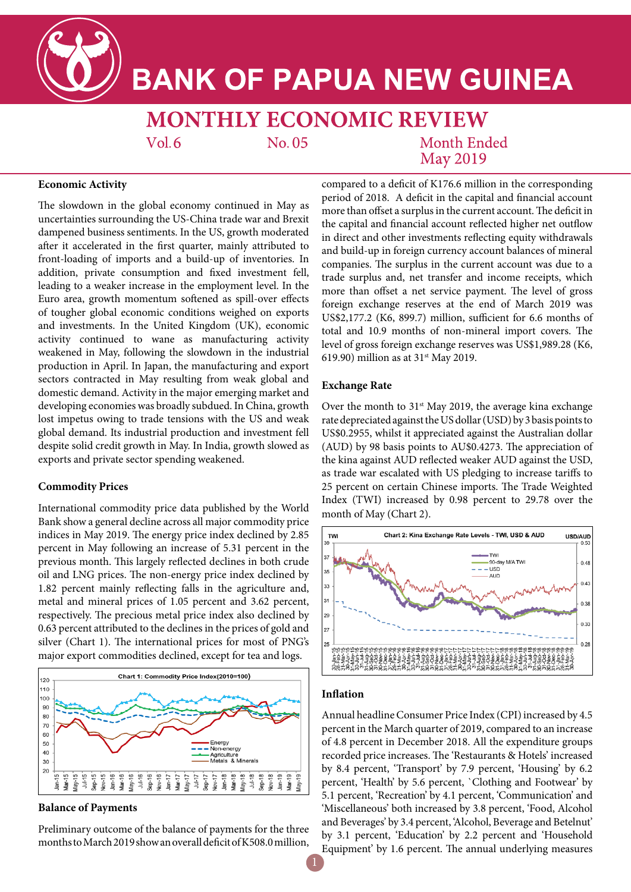

# **BANK OF PAPUA NEW GUINEA**

**MONTHLY ECONOMIC REVIEW**  $Vol.6$ No. 05 **Month Ended** 

**May 2019** 

## **Economic Activity**

The slowdown in the global economy continued in May as uncertainties surrounding the US-China trade war and Brexit dampened business sentiments. In the US, growth moderated after it accelerated in the first quarter, mainly attributed to front-loading of imports and a build-up of inventories. In addition, private consumption and fixed investment fell, leading to a weaker increase in the employment level. In the Euro area, growth momentum softened as spill-over effects of tougher global economic conditions weighed on exports and investments. In the United Kingdom (UK), economic activity continued to wane as manufacturing activity weakened in May, following the slowdown in the industrial production in April. In Japan, the manufacturing and export sectors contracted in May resulting from weak global and domestic demand. Activity in the major emerging market and developing economies was broadly subdued. In China, growth lost impetus owing to trade tensions with the US and weak global demand. Its industrial production and investment fell despite solid credit growth in May. In India, growth slowed as exports and private sector spending weakened.

## **Commodity Prices**

International commodity price data published by the World Bank show a general decline across all major commodity price indices in May 2019. The energy price index declined by 2.85 percent in May following an increase of 5.31 percent in the previous month. This largely reflected declines in both crude oil and LNG prices. The non-energy price index declined by 1.82 percent mainly reflecting falls in the agriculture and, metal and mineral prices of 1.05 percent and 3.62 percent, respectively. The precious metal price index also declined by 0.63 percent attributed to the declines in the prices of gold and silver (Chart 1). The international prices for most of PNG's major export commodities declined, except for tea and logs.



## **Balance of Payments**

Preliminary outcome of the balance of payments for the three months to March 2019 show an overall deficit of K508.0 million,

compared to a deficit of K176.6 million in the corresponding period of 2018. A deficit in the capital and financial account more than offset a surplus in the current account. The deficit in the capital and financial account reflected higher net outflow in direct and other investments reflecting equity withdrawals and build-up in foreign currency account balances of mineral companies. The surplus in the current account was due to a trade surplus and, net transfer and income receipts, which more than offset a net service payment. The level of gross foreign exchange reserves at the end of March 2019 was US\$2,177.2 (K6, 899.7) million, sufficient for 6.6 months of total and 10.9 months of non-mineral import covers. The level of gross foreign exchange reserves was US\$1,989.28 (K6, 619.90) million as at  $31<sup>st</sup>$  May 2019.

#### **Exchange Rate**

Over the month to  $31<sup>st</sup>$  May 2019, the average kina exchange rate depreciated against the US dollar (USD) by 3 basis points to US\$0.2955, whilst it appreciated against the Australian dollar (AUD) by 98 basis points to AU\$0.4273. The appreciation of the kina against AUD reflected weaker AUD against the USD, as trade war escalated with US pledging to increase tariffs to 25 percent on certain Chinese imports. The Trade Weighted Index (TWI) increased by 0.98 percent to 29.78 over the month of May (Chart 2).



## **Inflation**

Annual headline Consumer Price Index (CPI) increased by 4.5 percent in the March quarter of 2019, compared to an increase of 4.8 percent in December 2018. All the expenditure groups recorded price increases. The 'Restaurants & Hotels' increased by 8.4 percent, 'Transport' by 7.9 percent, 'Housing' by 6.2 percent, 'Health' by 5.6 percent, `Clothing and Footwear' by 5.1 percent, 'Recreation' by 4.1 percent, 'Communication' and 'Miscellaneous' both increased by 3.8 percent, 'Food, Alcohol and Beverages' by 3.4 percent, 'Alcohol, Beverage and Betelnut' by 3.1 percent, 'Education' by 2.2 percent and 'Household Equipment' by 1.6 percent. The annual underlying measures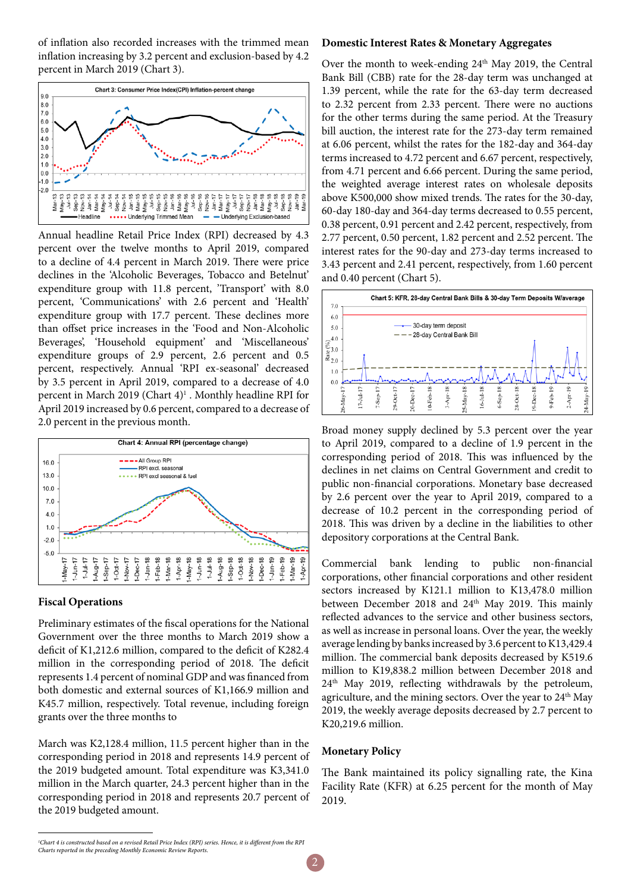of inflation also recorded increases with the trimmed mean inflation increasing by 3.2 percent and exclusion-based by 4.2 percent in March 2019 (Chart 3).



Annual headline Retail Price Index (RPI) decreased by 4.3 percent over the twelve months to April 2019, compared to a decline of 4.4 percent in March 2019. There were price declines in the 'Alcoholic Beverages, Tobacco and Betelnut' expenditure group with 11.8 percent, 'Transport' with 8.0 percent, 'Communications' with 2.6 percent and 'Health' expenditure group with 17.7 percent. These declines more than offset price increases in the 'Food and Non-Alcoholic Beverages', 'Household equipment' and 'Miscellaneous' expenditure groups of 2.9 percent, 2.6 percent and 0.5 percent, respectively. Annual 'RPI ex-seasonal' decreased by 3.5 percent in April 2019, compared to a decrease of 4.0 percent in March 2019 (Chart 4)<sup>1</sup>. Monthly headline RPI for April 2019 increased by 0.6 percent, compared to a decrease of 2.0 percent in the previous month.



# **Fiscal Operations**

Preliminary estimates of the fiscal operations for the National Government over the three months to March 2019 show a deficit of K1,212.6 million, compared to the deficit of K282.4 million in the corresponding period of 2018. The deficit represents 1.4 percent of nominal GDP and was financed from both domestic and external sources of K1,166.9 million and K45.7 million, respectively. Total revenue, including foreign grants over the three months to

March was K2,128.4 million, 11.5 percent higher than in the corresponding period in 2018 and represents 14.9 percent of the 2019 budgeted amount. Total expenditure was K3,341.0 million in the March quarter, 24.3 percent higher than in the corresponding period in 2018 and represents 20.7 percent of the 2019 budgeted amount.

# **Domestic Interest Rates & Monetary Aggregates**

Over the month to week-ending 24<sup>th</sup> May 2019, the Central Bank Bill (CBB) rate for the 28-day term was unchanged at 1.39 percent, while the rate for the 63-day term decreased to 2.32 percent from 2.33 percent. There were no auctions for the other terms during the same period. At the Treasury bill auction, the interest rate for the 273-day term remained at 6.06 percent, whilst the rates for the 182-day and 364-day terms increased to 4.72 percent and 6.67 percent, respectively, from 4.71 percent and 6.66 percent. During the same period, the weighted average interest rates on wholesale deposits above K500,000 show mixed trends. The rates for the 30-day, 60-day 180-day and 364-day terms decreased to 0.55 percent, 0.38 percent, 0.91 percent and 2.42 percent, respectively, from 2.77 percent, 0.50 percent, 1.82 percent and 2.52 percent. The interest rates for the 90-day and 273-day terms increased to 3.43 percent and 2.41 percent, respectively, from 1.60 percent and 0.40 percent (Chart 5).



Broad money supply declined by 5.3 percent over the year to April 2019, compared to a decline of 1.9 percent in the corresponding period of 2018. This was influenced by the declines in net claims on Central Government and credit to public non-financial corporations. Monetary base decreased by 2.6 percent over the year to April 2019, compared to a decrease of 10.2 percent in the corresponding period of 2018. This was driven by a decline in the liabilities to other depository corporations at the Central Bank.

Commercial bank lending to public non-financial corporations, other financial corporations and other resident sectors increased by K121.1 million to K13,478.0 million between December 2018 and 24<sup>th</sup> May 2019. This mainly reflected advances to the service and other business sectors, as well as increase in personal loans. Over the year, the weekly average lending by banks increased by 3.6 percent to K13,429.4 million. The commercial bank deposits decreased by K519.6 million to K19,838.2 million between December 2018 and 24th May 2019, reflecting withdrawals by the petroleum, agriculture, and the mining sectors. Over the year to 24<sup>th</sup> May 2019, the weekly average deposits decreased by 2.7 percent to K20,219.6 million.

# **Monetary Policy**

The Bank maintained its policy signalling rate, the Kina Facility Rate (KFR) at 6.25 percent for the month of May 2019.

*<sup>1</sup> Chart 4 is constructed based on a revised Retail Price Index (RPI) series. Hence, it is different from the RPI Charts reported in the preceding Monthly Economic Review Reports.*